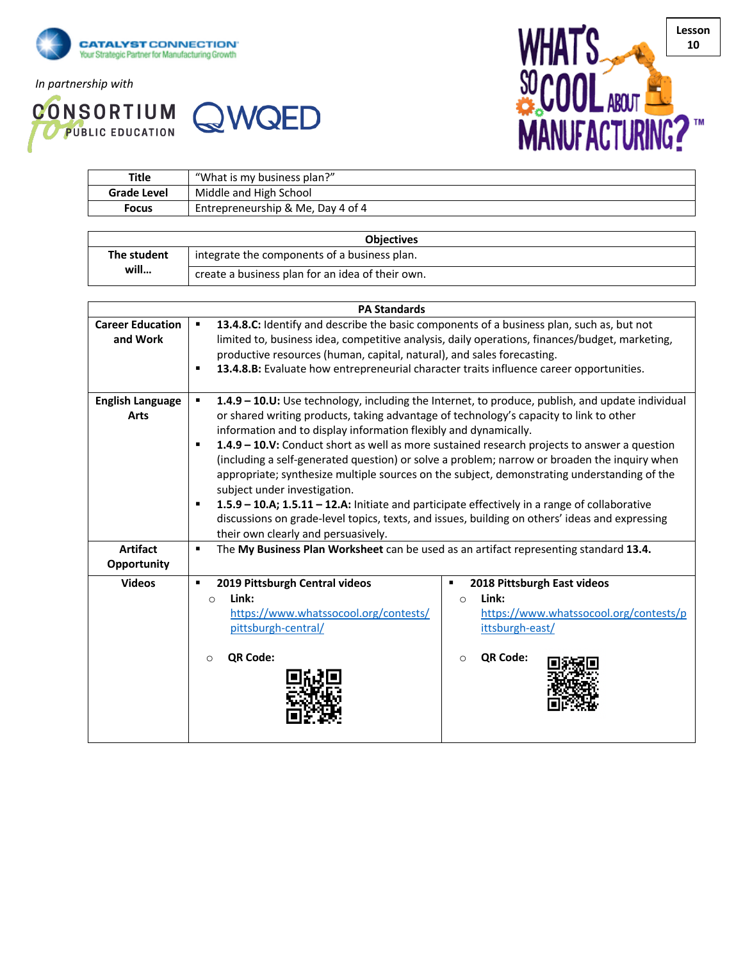

*In partnership with*

**CONSORTIUM QWQED** 



| <b>Title</b>       | "What is my business plan?"       |  |
|--------------------|-----------------------------------|--|
| <b>Grade Level</b> | Middle and High School            |  |
| <b>Focus</b>       | Entrepreneurship & Me, Day 4 of 4 |  |
|                    |                                   |  |

| <b>Objectives</b> |                                                  |  |  |  |
|-------------------|--------------------------------------------------|--|--|--|
| The student       | integrate the components of a business plan.     |  |  |  |
| will              | create a business plan for an idea of their own. |  |  |  |

| <b>PA Standards</b>            |                                                                                                             |  |  |  |
|--------------------------------|-------------------------------------------------------------------------------------------------------------|--|--|--|
| <b>Career Education</b>        | 13.4.8.C: Identify and describe the basic components of a business plan, such as, but not<br>$\blacksquare$ |  |  |  |
| and Work                       | limited to, business idea, competitive analysis, daily operations, finances/budget, marketing,              |  |  |  |
|                                | productive resources (human, capital, natural), and sales forecasting.                                      |  |  |  |
|                                | 13.4.8.B: Evaluate how entrepreneurial character traits influence career opportunities.                     |  |  |  |
| <b>English Language</b>        | 1.4.9 - 10.U: Use technology, including the Internet, to produce, publish, and update individual            |  |  |  |
| <b>Arts</b>                    | or shared writing products, taking advantage of technology's capacity to link to other                      |  |  |  |
|                                | information and to display information flexibly and dynamically.                                            |  |  |  |
|                                | 1.4.9 - 10.V: Conduct short as well as more sustained research projects to answer a question<br>٠           |  |  |  |
|                                | (including a self-generated question) or solve a problem; narrow or broaden the inquiry when                |  |  |  |
|                                | appropriate; synthesize multiple sources on the subject, demonstrating understanding of the                 |  |  |  |
|                                | subject under investigation.                                                                                |  |  |  |
|                                | 1.5.9 - 10.A; 1.5.11 - 12.A: Initiate and participate effectively in a range of collaborative               |  |  |  |
|                                | discussions on grade-level topics, texts, and issues, building on others' ideas and expressing              |  |  |  |
|                                | their own clearly and persuasively.                                                                         |  |  |  |
| <b>Artifact</b><br>Opportunity | The My Business Plan Worksheet can be used as an artifact representing standard 13.4.<br>$\blacksquare$     |  |  |  |
| <b>Videos</b>                  | 2019 Pittsburgh Central videos<br>2018 Pittsburgh East videos<br>٠<br>п                                     |  |  |  |
|                                | Link:<br>Link:<br>$\circ$<br>$\circ$                                                                        |  |  |  |
|                                | https://www.whatssocool.org/contests/<br>https://www.whatssocool.org/contests/p                             |  |  |  |
|                                | pittsburgh-central/<br>ittsburgh-east/                                                                      |  |  |  |
|                                | QR Code:<br>QR Code:<br>$\Omega$<br>$\circ$                                                                 |  |  |  |
|                                |                                                                                                             |  |  |  |
|                                |                                                                                                             |  |  |  |
|                                |                                                                                                             |  |  |  |
|                                |                                                                                                             |  |  |  |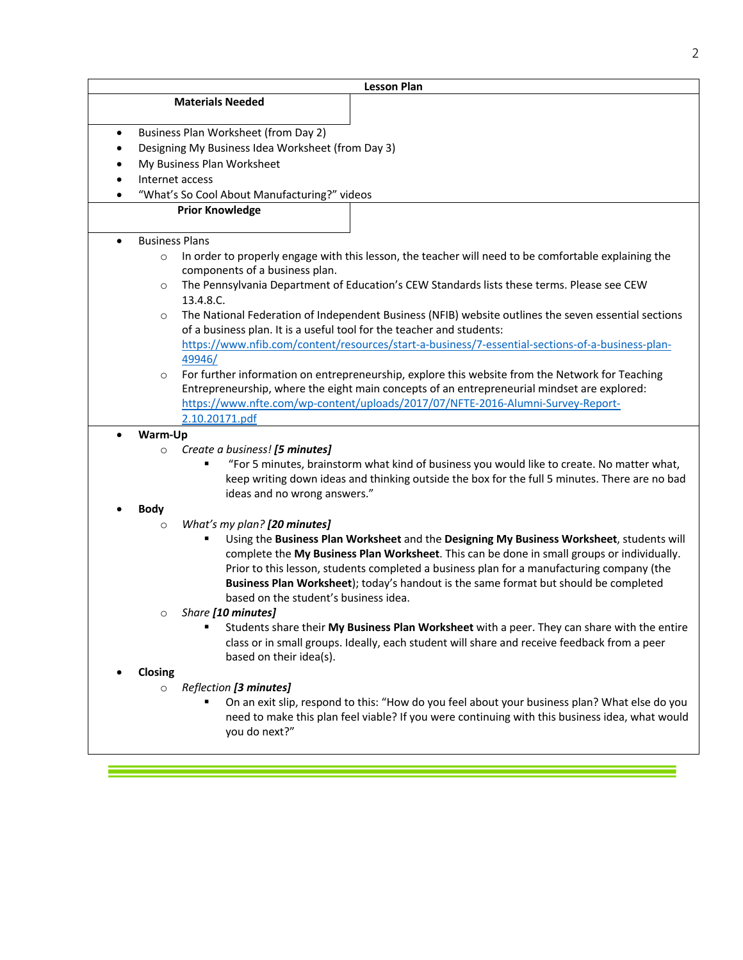| <b>Lesson Plan</b> |                                                   |                                                                                                                               |  |
|--------------------|---------------------------------------------------|-------------------------------------------------------------------------------------------------------------------------------|--|
|                    |                                                   | <b>Materials Needed</b>                                                                                                       |  |
|                    |                                                   |                                                                                                                               |  |
| $\bullet$          | Business Plan Worksheet (from Day 2)              |                                                                                                                               |  |
| $\bullet$          | Designing My Business Idea Worksheet (from Day 3) |                                                                                                                               |  |
|                    | My Business Plan Worksheet                        |                                                                                                                               |  |
|                    | Internet access                                   |                                                                                                                               |  |
|                    |                                                   | "What's So Cool About Manufacturing?" videos                                                                                  |  |
|                    |                                                   | <b>Prior Knowledge</b>                                                                                                        |  |
| $\bullet$          | <b>Business Plans</b>                             |                                                                                                                               |  |
|                    | $\circ$                                           | In order to properly engage with this lesson, the teacher will need to be comfortable explaining the                          |  |
|                    |                                                   | components of a business plan.                                                                                                |  |
|                    | $\circ$                                           | The Pennsylvania Department of Education's CEW Standards lists these terms. Please see CEW                                    |  |
|                    |                                                   | 13.4.8.C.                                                                                                                     |  |
|                    | $\circ$                                           | The National Federation of Independent Business (NFIB) website outlines the seven essential sections                          |  |
|                    |                                                   | of a business plan. It is a useful tool for the teacher and students:                                                         |  |
|                    |                                                   | https://www.nfib.com/content/resources/start-a-business/7-essential-sections-of-a-business-plan-                              |  |
|                    |                                                   | 49946/                                                                                                                        |  |
|                    | $\circ$                                           | For further information on entrepreneurship, explore this website from the Network for Teaching                               |  |
|                    |                                                   | Entrepreneurship, where the eight main concepts of an entrepreneurial mindset are explored:                                   |  |
|                    |                                                   | https://www.nfte.com/wp-content/uploads/2017/07/NFTE-2016-Alumni-Survey-Report-                                               |  |
|                    |                                                   | 2.10.20171.pdf                                                                                                                |  |
|                    | Warm-Up                                           |                                                                                                                               |  |
|                    | $\circ$                                           | Create a business! [5 minutes]                                                                                                |  |
|                    |                                                   | "For 5 minutes, brainstorm what kind of business you would like to create. No matter what,                                    |  |
|                    |                                                   | keep writing down ideas and thinking outside the box for the full 5 minutes. There are no bad<br>ideas and no wrong answers." |  |
|                    | <b>Body</b>                                       |                                                                                                                               |  |
|                    | $\circ$                                           | What's my plan? [20 minutes]                                                                                                  |  |
|                    |                                                   | Using the Business Plan Worksheet and the Designing My Business Worksheet, students will                                      |  |
|                    |                                                   | complete the My Business Plan Worksheet. This can be done in small groups or individually.                                    |  |
|                    |                                                   | Prior to this lesson, students completed a business plan for a manufacturing company (the                                     |  |
|                    |                                                   | Business Plan Worksheet); today's handout is the same format but should be completed                                          |  |
|                    |                                                   | based on the student's business idea.                                                                                         |  |
|                    | O                                                 | Share [10 minutes]                                                                                                            |  |
|                    |                                                   | Students share their My Business Plan Worksheet with a peer. They can share with the entire<br>٠                              |  |
|                    |                                                   | class or in small groups. Ideally, each student will share and receive feedback from a peer                                   |  |
|                    |                                                   | based on their idea(s).                                                                                                       |  |
|                    | Closing                                           |                                                                                                                               |  |
|                    | $\circ$                                           | Reflection [3 minutes]                                                                                                        |  |
|                    |                                                   | On an exit slip, respond to this: "How do you feel about your business plan? What else do you                                 |  |
|                    |                                                   | need to make this plan feel viable? If you were continuing with this business idea, what would                                |  |
|                    |                                                   | you do next?"                                                                                                                 |  |
|                    |                                                   |                                                                                                                               |  |

<u> Tanzania (h. 1878).</u><br>Demografia

an di